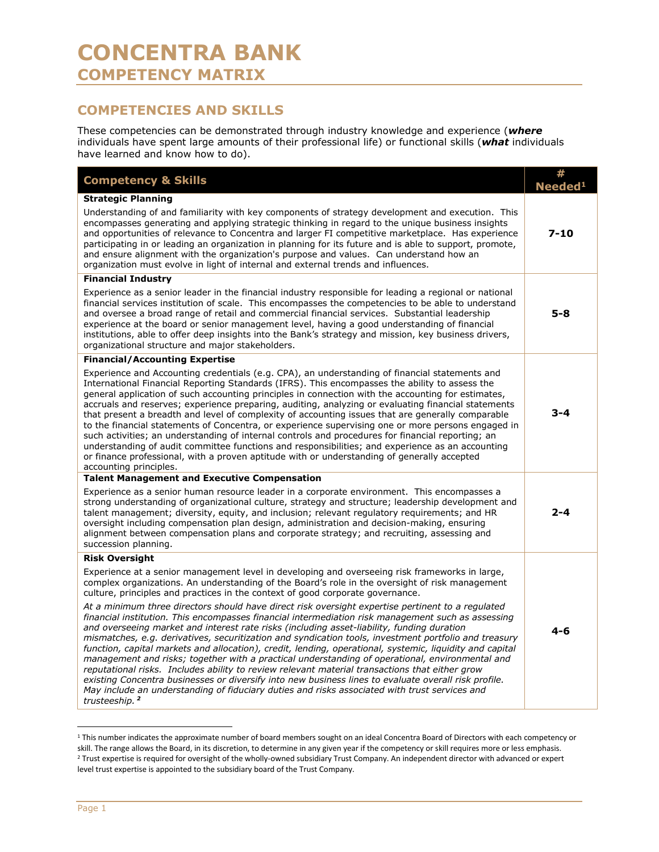## **COMPETENCIES AND SKILLS**

These competencies can be demonstrated through industry knowledge and experience (*where* individuals have spent large amounts of their professional life) or functional skills (*what* individuals have learned and know how to do).

| <b>Competency &amp; Skills</b>                                                                                                                                                                                                                                                                                                                                                                                                                                                                                                                                                                                                                                                                                                                                                                                                                                                                                                                                        | <b>Neede</b> |
|-----------------------------------------------------------------------------------------------------------------------------------------------------------------------------------------------------------------------------------------------------------------------------------------------------------------------------------------------------------------------------------------------------------------------------------------------------------------------------------------------------------------------------------------------------------------------------------------------------------------------------------------------------------------------------------------------------------------------------------------------------------------------------------------------------------------------------------------------------------------------------------------------------------------------------------------------------------------------|--------------|
| <b>Strategic Planning</b><br>Understanding of and familiarity with key components of strategy development and execution. This                                                                                                                                                                                                                                                                                                                                                                                                                                                                                                                                                                                                                                                                                                                                                                                                                                         |              |
| encompasses generating and applying strategic thinking in regard to the unique business insights<br>and opportunities of relevance to Concentra and larger FI competitive marketplace. Has experience<br>participating in or leading an organization in planning for its future and is able to support, promote,<br>and ensure alignment with the organization's purpose and values. Can understand how an<br>organization must evolve in light of internal and external trends and influences.                                                                                                                                                                                                                                                                                                                                                                                                                                                                       | $7 - 10$     |
| <b>Financial Industry</b>                                                                                                                                                                                                                                                                                                                                                                                                                                                                                                                                                                                                                                                                                                                                                                                                                                                                                                                                             |              |
| Experience as a senior leader in the financial industry responsible for leading a regional or national<br>financial services institution of scale. This encompasses the competencies to be able to understand<br>and oversee a broad range of retail and commercial financial services. Substantial leadership<br>experience at the board or senior management level, having a good understanding of financial<br>institutions, able to offer deep insights into the Bank's strategy and mission, key business drivers,<br>organizational structure and major stakeholders.                                                                                                                                                                                                                                                                                                                                                                                           | $5 - 8$      |
| <b>Financial/Accounting Expertise</b>                                                                                                                                                                                                                                                                                                                                                                                                                                                                                                                                                                                                                                                                                                                                                                                                                                                                                                                                 |              |
| Experience and Accounting credentials (e.g. CPA), an understanding of financial statements and<br>International Financial Reporting Standards (IFRS). This encompasses the ability to assess the<br>general application of such accounting principles in connection with the accounting for estimates,<br>accruals and reserves; experience preparing, auditing, analyzing or evaluating financial statements<br>that present a breadth and level of complexity of accounting issues that are generally comparable<br>to the financial statements of Concentra, or experience supervising one or more persons engaged in<br>such activities; an understanding of internal controls and procedures for financial reporting; an<br>understanding of audit committee functions and responsibilities; and experience as an accounting<br>or finance professional, with a proven aptitude with or understanding of generally accepted<br>accounting principles.            | $3 - 4$      |
| <b>Talent Management and Executive Compensation</b>                                                                                                                                                                                                                                                                                                                                                                                                                                                                                                                                                                                                                                                                                                                                                                                                                                                                                                                   |              |
| Experience as a senior human resource leader in a corporate environment. This encompasses a<br>strong understanding of organizational culture, strategy and structure; leadership development and<br>talent management; diversity, equity, and inclusion; relevant regulatory reguirements; and HR<br>oversight including compensation plan design, administration and decision-making, ensuring<br>alignment between compensation plans and corporate strategy; and recruiting, assessing and<br>succession planning.                                                                                                                                                                                                                                                                                                                                                                                                                                                | 2-4          |
| <b>Risk Oversight</b>                                                                                                                                                                                                                                                                                                                                                                                                                                                                                                                                                                                                                                                                                                                                                                                                                                                                                                                                                 |              |
| Experience at a senior management level in developing and overseeing risk frameworks in large,<br>complex organizations. An understanding of the Board's role in the oversight of risk management<br>culture, principles and practices in the context of good corporate governance.                                                                                                                                                                                                                                                                                                                                                                                                                                                                                                                                                                                                                                                                                   |              |
| At a minimum three directors should have direct risk oversight expertise pertinent to a regulated<br>financial institution. This encompasses financial intermediation risk management such as assessing<br>and overseeing market and interest rate risks (including asset-liability, funding duration<br>mismatches, e.g. derivatives, securitization and syndication tools, investment portfolio and treasury<br>function, capital markets and allocation), credit, lending, operational, systemic, liquidity and capital<br>management and risks; together with a practical understanding of operational, environmental and<br>reputational risks. Includes ability to review relevant material transactions that either grow<br>existing Concentra businesses or diversify into new business lines to evaluate overall risk profile.<br>May include an understanding of fiduciary duties and risks associated with trust services and<br>trusteeship. <sup>2</sup> | $4 - 6$      |

<sup>&</sup>lt;sup>1</sup> This number indicates the approximate number of board members sought on an ideal Concentra Board of Directors with each competency or skill. The range allows the Board, in its discretion, to determine in any given year if the competency or skill requires more or less emphasis.<br><sup>2</sup> Trust expertise is required for oversight of the wholly-owned subsidiary T level trust expertise is appointed to the subsidiary board of the Trust Company.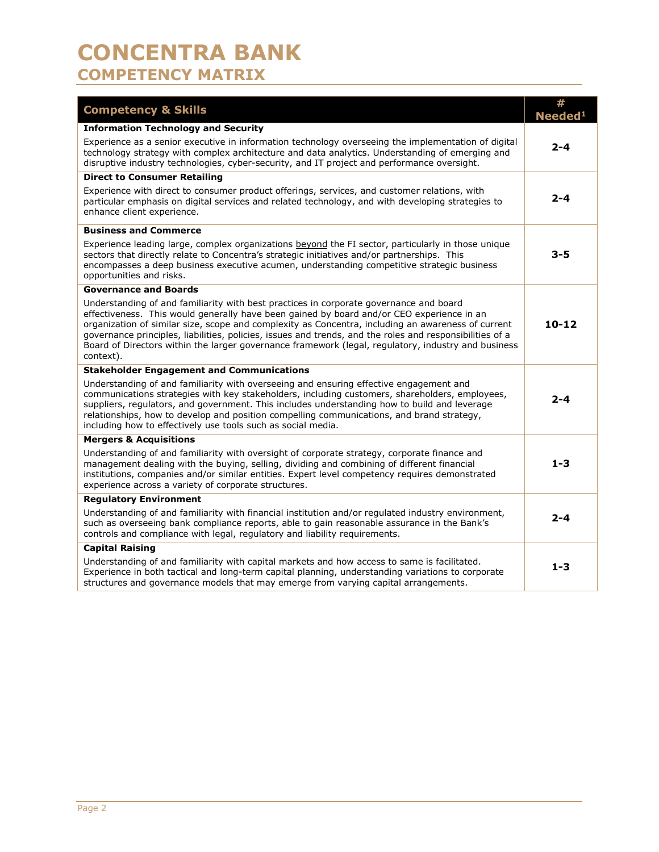## **CONCENTRA BANK COMPETENCY MATRIX**

| <b>Competency &amp; Skills</b>                                                                                                                                                                                                                                                                                                                                                                                                                                                                                            | #<br>Needed <sup>1</sup> |  |
|---------------------------------------------------------------------------------------------------------------------------------------------------------------------------------------------------------------------------------------------------------------------------------------------------------------------------------------------------------------------------------------------------------------------------------------------------------------------------------------------------------------------------|--------------------------|--|
| <b>Information Technology and Security</b>                                                                                                                                                                                                                                                                                                                                                                                                                                                                                |                          |  |
| Experience as a senior executive in information technology overseeing the implementation of digital<br>technology strategy with complex architecture and data analytics. Understanding of emerging and<br>disruptive industry technologies, cyber-security, and IT project and performance oversight.                                                                                                                                                                                                                     | 2-4                      |  |
| <b>Direct to Consumer Retailing</b>                                                                                                                                                                                                                                                                                                                                                                                                                                                                                       |                          |  |
| Experience with direct to consumer product offerings, services, and customer relations, with<br>particular emphasis on digital services and related technology, and with developing strategies to<br>enhance client experience.                                                                                                                                                                                                                                                                                           | 2-4                      |  |
| <b>Business and Commerce</b>                                                                                                                                                                                                                                                                                                                                                                                                                                                                                              |                          |  |
| Experience leading large, complex organizations beyond the FI sector, particularly in those unique<br>sectors that directly relate to Concentra's strategic initiatives and/or partnerships. This<br>encompasses a deep business executive acumen, understanding competitive strategic business<br>opportunities and risks.                                                                                                                                                                                               | 3-5                      |  |
| <b>Governance and Boards</b>                                                                                                                                                                                                                                                                                                                                                                                                                                                                                              |                          |  |
| Understanding of and familiarity with best practices in corporate governance and board<br>effectiveness. This would generally have been gained by board and/or CEO experience in an<br>organization of similar size, scope and complexity as Concentra, including an awareness of current<br>governance principles, liabilities, policies, issues and trends, and the roles and responsibilities of a<br>Board of Directors within the larger governance framework (legal, regulatory, industry and business<br>context). | $10 - 12$                |  |
| <b>Stakeholder Engagement and Communications</b>                                                                                                                                                                                                                                                                                                                                                                                                                                                                          |                          |  |
| Understanding of and familiarity with overseeing and ensuring effective engagement and<br>communications strategies with key stakeholders, including customers, shareholders, employees,<br>suppliers, regulators, and government. This includes understanding how to build and leverage<br>relationships, how to develop and position compelling communications, and brand strategy,<br>including how to effectively use tools such as social media.                                                                     | 2-4                      |  |
| <b>Mergers &amp; Acquisitions</b>                                                                                                                                                                                                                                                                                                                                                                                                                                                                                         |                          |  |
| Understanding of and familiarity with oversight of corporate strategy, corporate finance and<br>management dealing with the buying, selling, dividing and combining of different financial<br>institutions, companies and/or similar entities. Expert level competency requires demonstrated<br>experience across a variety of corporate structures.                                                                                                                                                                      | $1 - 3$                  |  |
| <b>Regulatory Environment</b>                                                                                                                                                                                                                                                                                                                                                                                                                                                                                             |                          |  |
| Understanding of and familiarity with financial institution and/or regulated industry environment,<br>such as overseeing bank compliance reports, able to gain reasonable assurance in the Bank's<br>controls and compliance with legal, regulatory and liability requirements.                                                                                                                                                                                                                                           | 2-4                      |  |
| <b>Capital Raising</b>                                                                                                                                                                                                                                                                                                                                                                                                                                                                                                    |                          |  |
| Understanding of and familiarity with capital markets and how access to same is facilitated.<br>Experience in both tactical and long-term capital planning, understanding variations to corporate<br>structures and governance models that may emerge from varying capital arrangements.                                                                                                                                                                                                                                  | $1 - 3$                  |  |